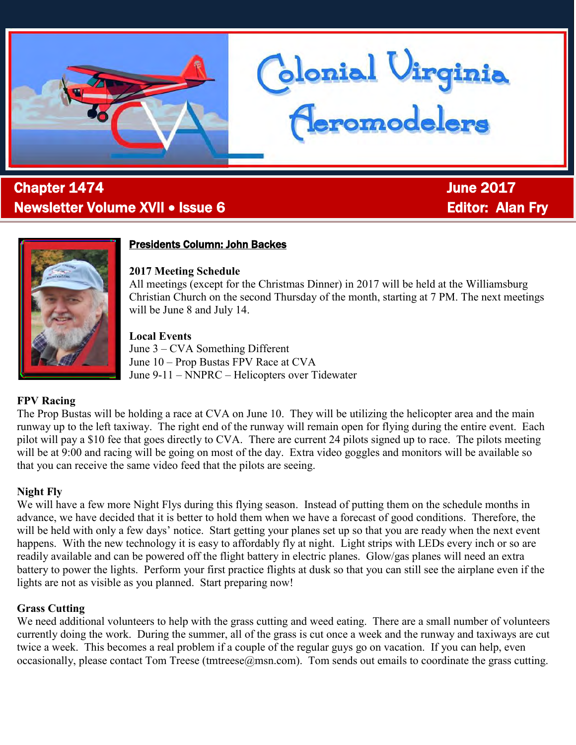

# l **Chapter 1474 Chapter 1474 June 2017** Newsletter Volume XVII • Issue 6 **Editor: Alan Fry** Editor: Alan Fry



## Presidents Column: John Backes

## **2017 Meeting Schedule**

All meetings (except for the Christmas Dinner) in 2017 will be held at the Williamsburg Christian Church on the second Thursday of the month, starting at 7 PM. The next meetings will be June 8 and July 14.

blonial Virginia<br>Heromodelers

## **Local Events**

June 3 – CVA Something Different June 10 – Prop Bustas FPV Race at CVA June 9-11 – NNPRC – Helicopters over Tidewater

## **FPV Racing**

The Prop Bustas will be holding a race at CVA on June 10. They will be utilizing the helicopter area and the main runway up to the left taxiway. The right end of the runway will remain open for flying during the entire event. Each pilot will pay a \$10 fee that goes directly to CVA. There are current 24 pilots signed up to race. The pilots meeting will be at 9:00 and racing will be going on most of the day. Extra video goggles and monitors will be available so that you can receive the same video feed that the pilots are seeing.

## **Night Fly**

We will have a few more Night Flys during this flying season. Instead of putting them on the schedule months in advance, we have decided that it is better to hold them when we have a forecast of good conditions. Therefore, the will be held with only a few days' notice. Start getting your planes set up so that you are ready when the next event happens. With the new technology it is easy to affordably fly at night. Light strips with LEDs every inch or so are readily available and can be powered off the flight battery in electric planes. Glow/gas planes will need an extra battery to power the lights. Perform your first practice flights at dusk so that you can still see the airplane even if the lights are not as visible as you planned. Start preparing now!

## **Grass Cutting**

We need additional volunteers to help with the grass cutting and weed eating. There are a small number of volunteers currently doing the work. During the summer, all of the grass is cut once a week and the runway and taxiways are cut twice a week. This becomes a real problem if a couple of the regular guys go on vacation. If you can help, even occasionally, please contact Tom Treese (tmtreese  $\omega$ msn.com). Tom sends out emails to coordinate the grass cutting.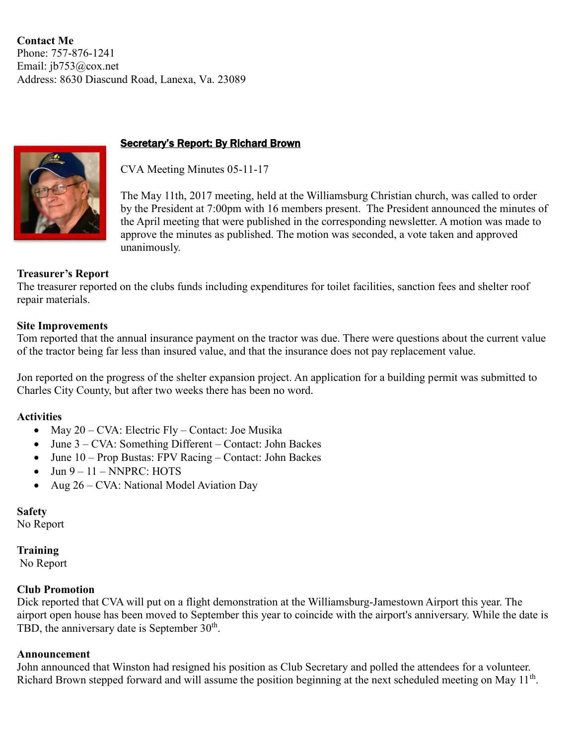**Contact Me**  Phone: 757-876-1241 Email: [jb753@cox.net](mailto:jb753@cox.net) Address: 8630 Diascund Road, Lanexa, Va. 23089



## **Secretary's Report: By Richard Brown**

CVA Meeting Minutes 05-11-17

The May 11th, 2017 meeting, held at the Williamsburg Christian church, was called to order by the President at 7:00pm with 16 members present. The President announced the minutes of the April meeting that were published in the corresponding newsletter. A motion was made to approve the minutes as published. The motion was seconded, a vote taken and approved unanimously.

#### **Treasurer's Report**

The treasurer reported on the clubs funds including expenditures for toilet facilities, sanction fees and shelter roof repair materials.

#### **Site Improvements**

Tom reported that the annual insurance payment on the tractor was due. There were questions about the current value of the tractor being far less than insured value, and that the insurance does not pay replacement value.

Jon reported on the progress of the shelter expansion project. An application for a building permit was submitted to Charles City County, but after two weeks there has been no word.

#### **Activities**

- May  $20 CVA$ : Electric Fly Contact: Joe Musika
- June 3 CVA: Something Different Contact: John Backes
- June 10 Prop Bustas: FPV Racing Contact: John Backes
- $\bullet$  Jun  $9 11 \text{NNPRC}$ : HOTS
- Aug 26 CVA: National Model Aviation Day

#### **Safety**

No Report

#### **Training**

No Report

#### **Club Promotion**

Dick reported that CVA will put on a flight demonstration at the Williamsburg-Jamestown Airport this year. The airport open house has been moved to September this year to coincide with the airport's anniversary. While the date is TBD, the anniversary date is September  $30<sup>th</sup>$ .

#### **Announcement**

John announced that Winston had resigned his position as Club Secretary and polled the attendees for a volunteer. Richard Brown stepped forward and will assume the position beginning at the next scheduled meeting on May 11<sup>th</sup>.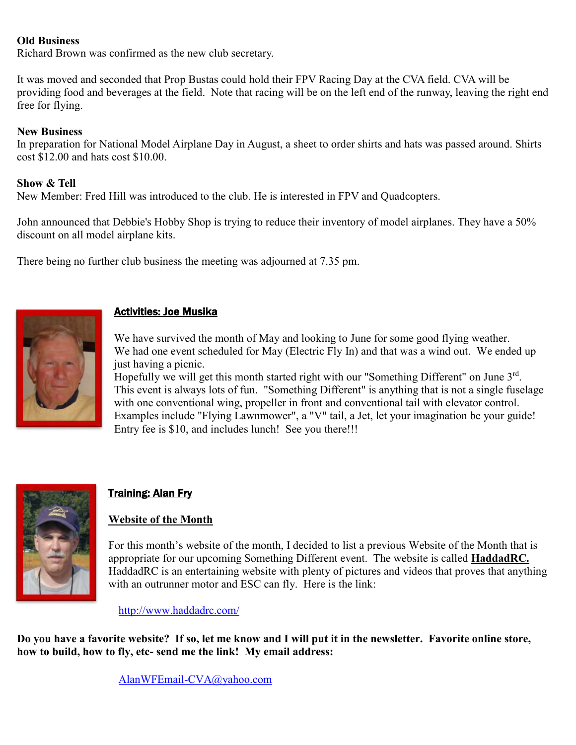## **Old Business**

Richard Brown was confirmed as the new club secretary.

It was moved and seconded that Prop Bustas could hold their FPV Racing Day at the CVA field. CVA will be providing food and beverages at the field. Note that racing will be on the left end of the runway, leaving the right end free for flying.

#### **New Business**

In preparation for National Model Airplane Day in August, a sheet to order shirts and hats was passed around. Shirts cost \$12.00 and hats cost \$10.00.

#### **Show & Tell**

New Member: Fred Hill was introduced to the club. He is interested in FPV and Quadcopters.

John announced that Debbie's Hobby Shop is trying to reduce their inventory of model airplanes. They have a 50% discount on all model airplane kits.

There being no further club business the meeting was adjourned at 7.35 pm.



## Activities: Joe Musika

We have survived the month of May and looking to June for some good flying weather. We had one event scheduled for May (Electric Fly In) and that was a wind out. We ended up just having a picnic.

Hopefully we will get this month started right with our "Something Different" on June 3rd. This event is always lots of fun. "Something Different" is anything that is not a single fuselage with one conventional wing, propeller in front and conventional tail with elevator control. Examples include "Flying Lawnmower", a "V" tail, a Jet, let your imagination be your guide! Entry fee is \$10, and includes lunch! See you there!!!



## **Training: Alan Fry**

## **Website of the Month**

For this month's website of the month, I decided to list a previous Website of the Month that is appropriate for our upcoming Something Different event. The website is called **HaddadRC.** HaddadRC is an entertaining website with plenty of pictures and videos that proves that anything with an outrunner motor and ESC can fly. Here is the link:

<http://www.haddadrc.com/>

**Do you have a favorite website? If so, let me know and I will put it in the newsletter. Favorite online store, how to build, how to fly, etc- send me the link! My email address:** 

[AlanWFEmail-CVA@yahoo.com](mailto:AlanWFEmail-CVA@yahoo.com)